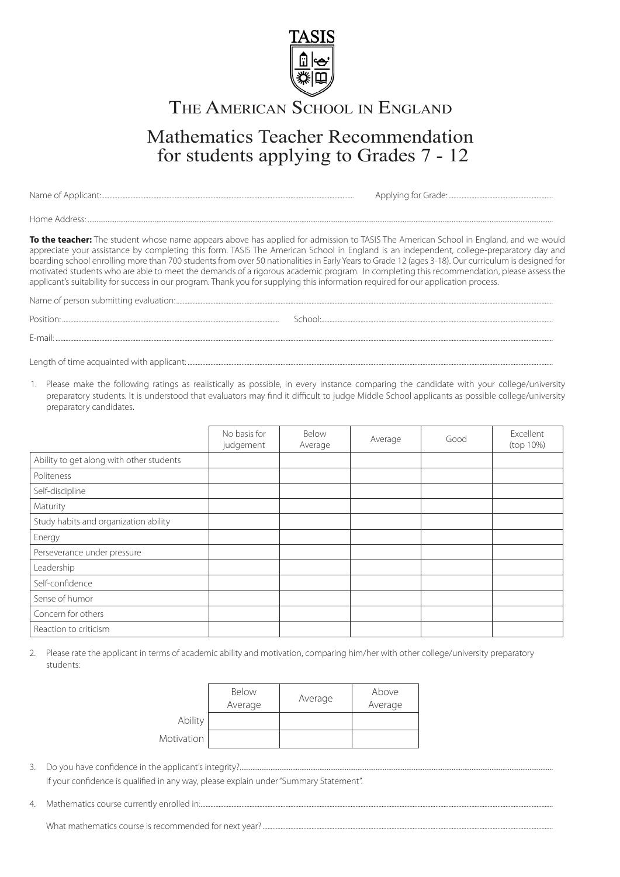

## THE AMERICAN SCHOOL IN ENGLAND

## Mathematics Teacher Recommendation for students applying to Grades 7 - 12

Name of Applicant:........................................................................................................................................................... Applying for Grade: ................................................................

Home Address: .................................................................................................................................................................................................................................................................

**To the teacher:** The student whose name appears above has applied for admission to TASIS The American School in England, and we would appreciate your assistance by completing this form. TASIS The American School in England is an independent, college-preparatory day and boarding school enrolling more than 700 students from over 50 nationalities in Early Years to Grade 12 (ages 3-18). Our curriculum is designed for motivated students who are able to meet the demands of a rigorous academic program. In completing this recommendation, please assess the applicant's suitability for success in our program. Thank you for supplying this information required for our application process.

Name of person submitting evaluation:.......................................................................................................................................................................................................................................

Position: ..................................................................................................................................... School:..............................................................................................................................................

E-mail: .................................................................................................................................................................................................................................................................................................................

Length of time acquainted with applicant: ........

1. Please make the following ratings as realistically as possible, in every instance comparing the candidate with your college/university preparatory students. It is understood that evaluators may find it difficult to judge Middle School applicants as possible college/university preparatory candidates.

|                                          | No basis for<br>judgement | Below<br>Average | Average | Good | Excellent<br>(top 10%) |
|------------------------------------------|---------------------------|------------------|---------|------|------------------------|
| Ability to get along with other students |                           |                  |         |      |                        |
| Politeness                               |                           |                  |         |      |                        |
| Self-discipline                          |                           |                  |         |      |                        |
| Maturity                                 |                           |                  |         |      |                        |
| Study habits and organization ability    |                           |                  |         |      |                        |
| Energy                                   |                           |                  |         |      |                        |
| Perseverance under pressure              |                           |                  |         |      |                        |
| Leadership                               |                           |                  |         |      |                        |
| Self-confidence                          |                           |                  |         |      |                        |
| Sense of humor                           |                           |                  |         |      |                        |
| Concern for others                       |                           |                  |         |      |                        |
| Reaction to criticism                    |                           |                  |         |      |                        |

2. Please rate the applicant in terms of academic ability and motivation, comparing him/her with other college/university preparatory students:

|            | Below<br>Average | Average | Above<br>Average |
|------------|------------------|---------|------------------|
| Ability    |                  |         |                  |
| Motivation |                  |         |                  |

- 3. Do you have confidence in the applicant's integrity?............................................................................................................................................................................. If your confidence is qualified in any way, please explain under "Summary Statement".
- 4. Mathematics course currently enrolled in:........................................................................................................................................................................................................................

What mathematics course is recommended for next year?..................................................................................................................................................................................